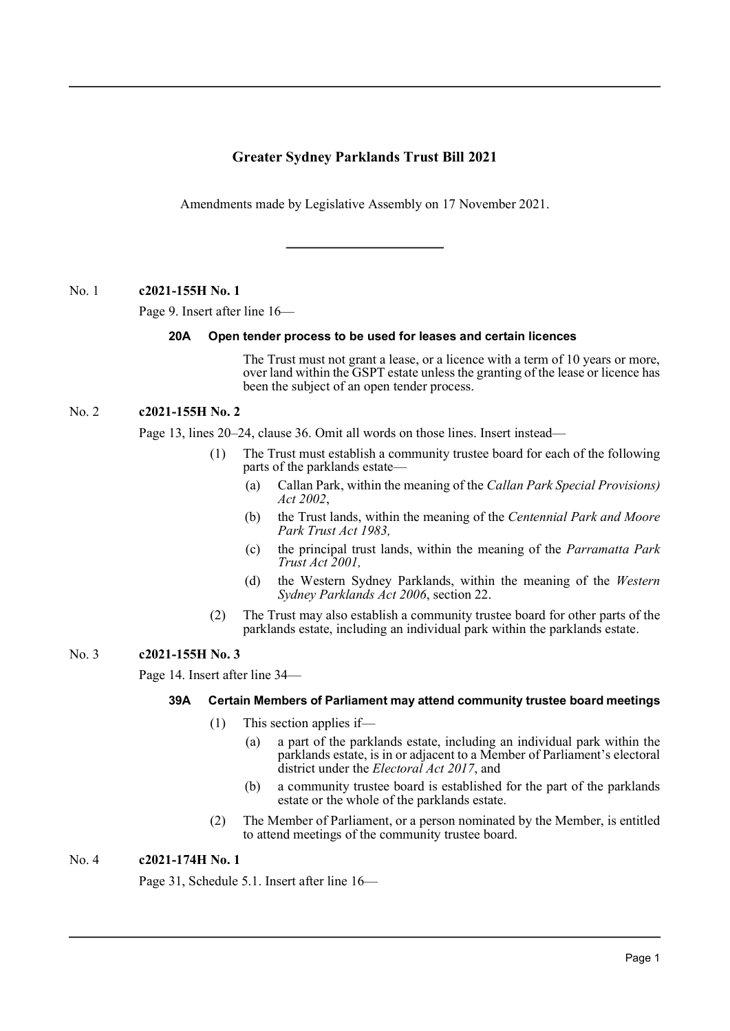# **Greater Sydney Parklands Trust Bill 2021**

Amendments made by Legislative Assembly on 17 November 2021.

No. 1 **c2021-155H No. 1**

Page 9. Insert after line 16—

# **20A Open tender process to be used for leases and certain licences**

The Trust must not grant a lease, or a licence with a term of 10 years or more, over land within the GSPT estate unless the granting of the lease or licence has been the subject of an open tender process.

# No. 2 **c2021-155H No. 2**

Page 13, lines 20–24, clause 36. Omit all words on those lines. Insert instead—

- (1) The Trust must establish a community trustee board for each of the following parts of the parklands estate—
	- (a) Callan Park, within the meaning of the *Callan Park Special Provisions) Act 2002*,
	- (b) the Trust lands, within the meaning of the *Centennial Park and Moore Park Trust Act 1983,*
	- (c) the principal trust lands, within the meaning of the *Parramatta Park Trust Act 2001,*
	- (d) the Western Sydney Parklands, within the meaning of the *Western Sydney Parklands Act 2006*, section 22.
- (2) The Trust may also establish a community trustee board for other parts of the parklands estate, including an individual park within the parklands estate.

# No. 3 **c2021-155H No. 3**

Page 14. Insert after line 34—

# **39A Certain Members of Parliament may attend community trustee board meetings**

- (1) This section applies if—
	- (a) a part of the parklands estate, including an individual park within the parklands estate, is in or adjacent to a Member of Parliament's electoral district under the *Electoral Act 2017*, and
	- (b) a community trustee board is established for the part of the parklands estate or the whole of the parklands estate.
- (2) The Member of Parliament, or a person nominated by the Member, is entitled to attend meetings of the community trustee board.

# No. 4 **c2021-174H No. 1**

Page 31, Schedule 5.1. Insert after line 16—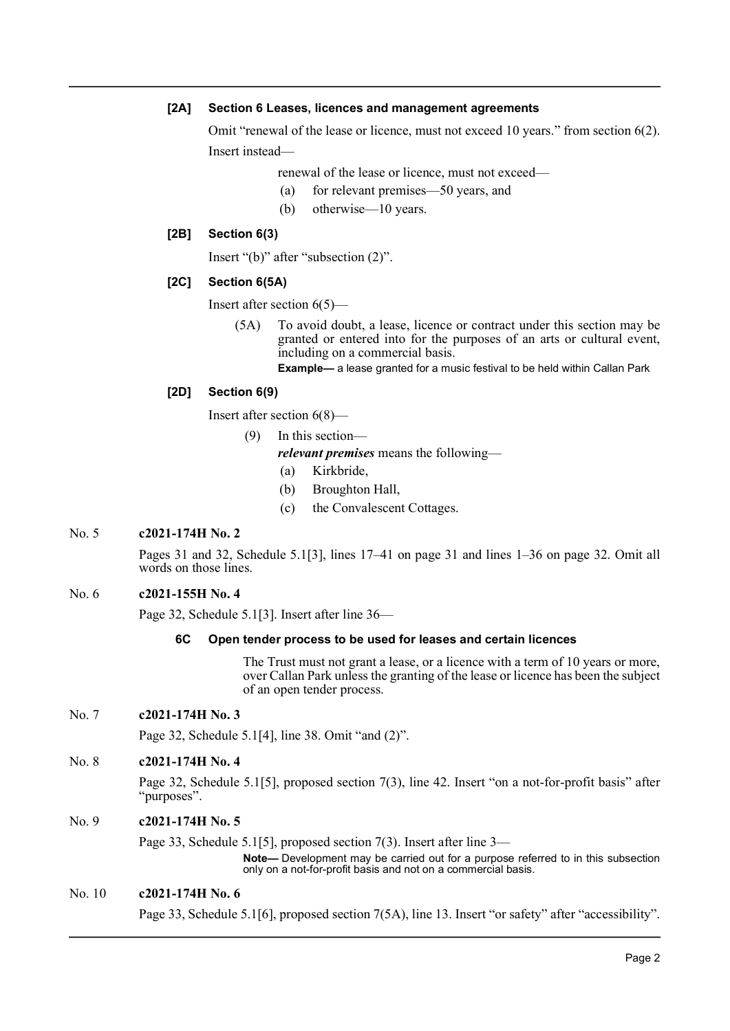### **[2A] Section 6 Leases, licences and management agreements**

Omit "renewal of the lease or licence, must not exceed 10 years." from section 6(2). Insert instead—

renewal of the lease or licence, must not exceed—

- (a) for relevant premises—50 years, and
- (b) otherwise—10 years.

# **[2B] Section 6(3)**

Insert "(b)" after "subsection (2)".

# **[2C] Section 6(5A)**

Insert after section 6(5)—

(5A) To avoid doubt, a lease, licence or contract under this section may be granted or entered into for the purposes of an arts or cultural event, including on a commercial basis.

**Example—** a lease granted for a music festival to be held within Callan Park

# **[2D] Section 6(9)**

Insert after section 6(8)—

(9) In this section—

*relevant premises* means the following—

- (a) Kirkbride,
- (b) Broughton Hall,
- (c) the Convalescent Cottages.

# No. 5 **c2021-174H No. 2**

Pages 31 and 32, Schedule 5.1[3], lines 17–41 on page 31 and lines 1–36 on page 32. Omit all words on those lines.

# No. 6 **c2021-155H No. 4**

Page 32, Schedule 5.1[3]. Insert after line 36—

# **6C Open tender process to be used for leases and certain licences**

The Trust must not grant a lease, or a licence with a term of 10 years or more, over Callan Park unless the granting of the lease or licence has been the subject of an open tender process.

# No. 7 **c2021-174H No. 3**

Page 32, Schedule 5.1[4], line 38. Omit "and (2)".

# No. 8 **c2021-174H No. 4**

Page 32, Schedule 5.1[5], proposed section 7(3), line 42. Insert "on a not-for-profit basis" after "purposes".

# No. 9 **c2021-174H No. 5**

Page 33, Schedule 5.1[5], proposed section 7(3). Insert after line 3—

**Note—** Development may be carried out for a purpose referred to in this subsection only on a not-for-profit basis and not on a commercial basis.

# No. 10 **c2021-174H No. 6**

Page 33, Schedule 5.1[6], proposed section 7(5A), line 13. Insert "or safety" after "accessibility".